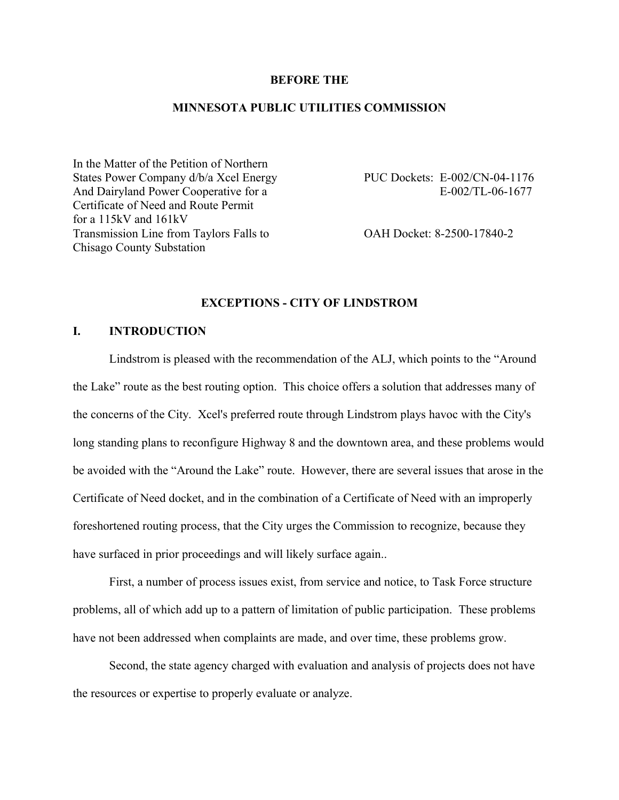## **BEFORE THE**

# **MINNESOTA PUBLIC UTILITIES COMMISSION**

In the Matter of the Petition of Northern States Power Company d/b/a Xcel Energy PUC Dockets: E-002/CN-04-1176 And Dairyland Power Cooperative for a E-002/TL-06-1677 Certificate of Need and Route Permit for a 115kV and 161kV Transmission Line from Taylors Falls to OAH Docket: 8-2500-17840-2 Chisago County Substation

# **EXCEPTIONS - CITY OF LINDSTROM**

# **I. INTRODUCTION**

Lindstrom is pleased with the recommendation of the ALJ, which points to the "Around the Lake" route as the best routing option. This choice offers a solution that addresses many of the concerns of the City. Xcel's preferred route through Lindstrom plays havoc with the City's long standing plans to reconfigure Highway 8 and the downtown area, and these problems would be avoided with the "Around the Lake" route. However, there are several issues that arose in the Certificate of Need docket, and in the combination of a Certificate of Need with an improperly foreshortened routing process, that the City urges the Commission to recognize, because they have surfaced in prior proceedings and will likely surface again..

First, a number of process issues exist, from service and notice, to Task Force structure problems, all of which add up to a pattern of limitation of public participation. These problems have not been addressed when complaints are made, and over time, these problems grow.

Second, the state agency charged with evaluation and analysis of projects does not have the resources or expertise to properly evaluate or analyze.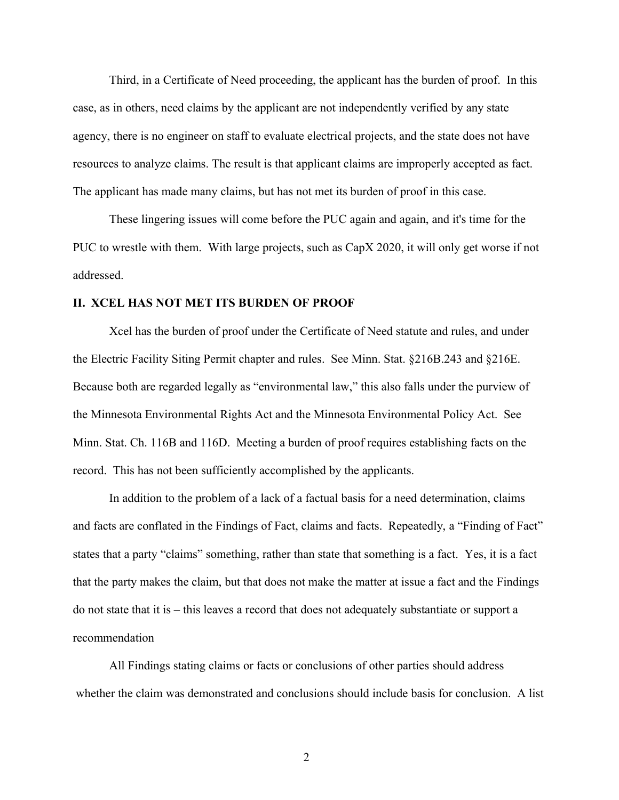Third, in a Certificate of Need proceeding, the applicant has the burden of proof. In this case, as in others, need claims by the applicant are not independently verified by any state agency, there is no engineer on staff to evaluate electrical projects, and the state does not have resources to analyze claims. The result is that applicant claims are improperly accepted as fact. The applicant has made many claims, but has not met its burden of proof in this case.

These lingering issues will come before the PUC again and again, and it's time for the PUC to wrestle with them. With large projects, such as CapX 2020, it will only get worse if not addressed.

#### **II. XCEL HAS NOT MET ITS BURDEN OF PROOF**

Xcel has the burden of proof under the Certificate of Need statute and rules, and under the Electric Facility Siting Permit chapter and rules. See Minn. Stat. §216B.243 and §216E. Because both are regarded legally as "environmental law," this also falls under the purview of the Minnesota Environmental Rights Act and the Minnesota Environmental Policy Act. See Minn. Stat. Ch. 116B and 116D. Meeting a burden of proof requires establishing facts on the record. This has not been sufficiently accomplished by the applicants.

In addition to the problem of a lack of a factual basis for a need determination, claims and facts are conflated in the Findings of Fact, claims and facts. Repeatedly, a "Finding of Fact" states that a party "claims" something, rather than state that something is a fact. Yes, it is a fact that the party makes the claim, but that does not make the matter at issue a fact and the Findings do not state that it is – this leaves a record that does not adequately substantiate or support a recommendation

All Findings stating claims or facts or conclusions of other parties should address whether the claim was demonstrated and conclusions should include basis for conclusion. A list

2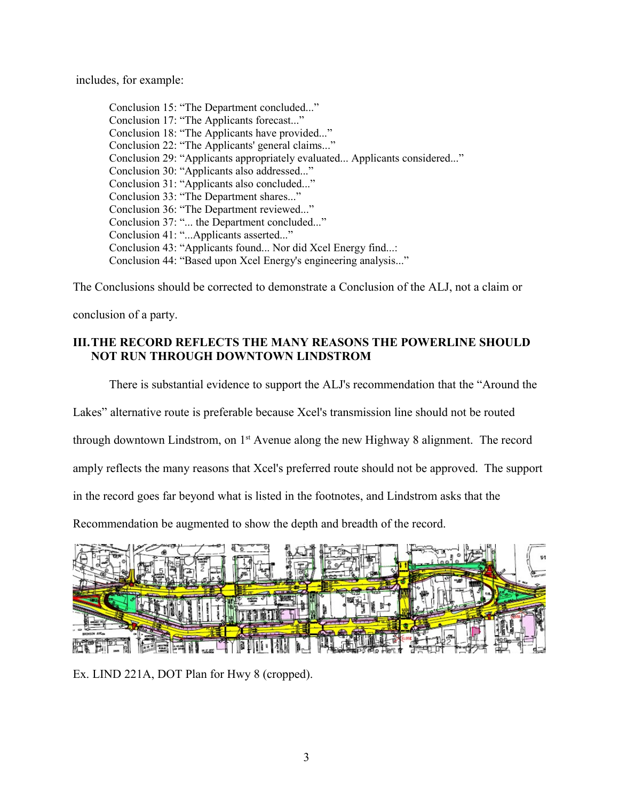includes, for example:

Conclusion 15: "The Department concluded..." Conclusion 17: "The Applicants forecast..." Conclusion 18: "The Applicants have provided..." Conclusion 22: "The Applicants' general claims..." Conclusion 29: "Applicants appropriately evaluated... Applicants considered..." Conclusion 30: "Applicants also addressed..." Conclusion 31: "Applicants also concluded..." Conclusion 33: "The Department shares..." Conclusion 36: "The Department reviewed..." Conclusion 37: "... the Department concluded..." Conclusion 41: "...Applicants asserted..." Conclusion 43: "Applicants found... Nor did Xcel Energy find...: Conclusion 44: "Based upon Xcel Energy's engineering analysis..."

The Conclusions should be corrected to demonstrate a Conclusion of the ALJ, not a claim or

conclusion of a party.

# **III.THE RECORD REFLECTS THE MANY REASONS THE POWERLINE SHOULD NOT RUN THROUGH DOWNTOWN LINDSTROM**

There is substantial evidence to support the ALJ's recommendation that the "Around the

Lakes" alternative route is preferable because Xcel's transmission line should not be routed

through downtown Lindstrom, on  $1<sup>st</sup>$  Avenue along the new Highway 8 alignment. The record

amply reflects the many reasons that Xcel's preferred route should not be approved. The support

in the record goes far beyond what is listed in the footnotes, and Lindstrom asks that the

Recommendation be augmented to show the depth and breadth of the record.



Ex. LIND 221A, DOT Plan for Hwy 8 (cropped).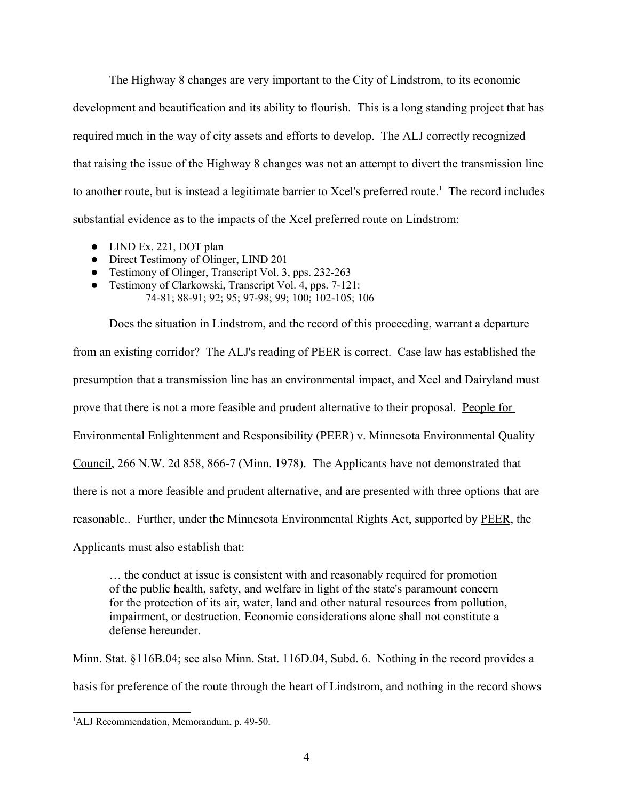The Highway 8 changes are very important to the City of Lindstrom, to its economic development and beautification and its ability to flourish. This is a long standing project that has required much in the way of city assets and efforts to develop. The ALJ correctly recognized that raising the issue of the Highway 8 changes was not an attempt to divert the transmission line to another route, but is instead a legitimate barrier to Xcel's preferred route.<sup>[1](#page-3-0)</sup> The record includes substantial evidence as to the impacts of the Xcel preferred route on Lindstrom:

- LIND Ex. 221, DOT plan
- Direct Testimony of Olinger, LIND 201
- Testimony of Olinger, Transcript Vol. 3, pps. 232-263
- Testimony of Clarkowski, Transcript Vol. 4, pps. 7-121: 74-81; 88-91; 92; 95; 97-98; 99; 100; 102-105; 106

Does the situation in Lindstrom, and the record of this proceeding, warrant a departure from an existing corridor? The ALJ's reading of PEER is correct. Case law has established the presumption that a transmission line has an environmental impact, and Xcel and Dairyland must prove that there is not a more feasible and prudent alternative to their proposal. People for Environmental Enlightenment and Responsibility (PEER) v. Minnesota Environmental Quality Council, 266 N.W. 2d 858, 866-7 (Minn. 1978). The Applicants have not demonstrated that there is not a more feasible and prudent alternative, and are presented with three options that are reasonable.. Further, under the Minnesota Environmental Rights Act, supported by PEER, the Applicants must also establish that:

… the conduct at issue is consistent with and reasonably required for promotion of the public health, safety, and welfare in light of the state's paramount concern for the protection of its air, water, land and other natural resources from pollution, impairment, or destruction. Economic considerations alone shall not constitute a defense hereunder.

Minn. Stat. §116B.04; see also Minn. Stat. 116D.04, Subd. 6. Nothing in the record provides a basis for preference of the route through the heart of Lindstrom, and nothing in the record shows

<span id="page-3-0"></span><sup>&</sup>lt;sup>1</sup>ALJ Recommendation, Memorandum, p. 49-50.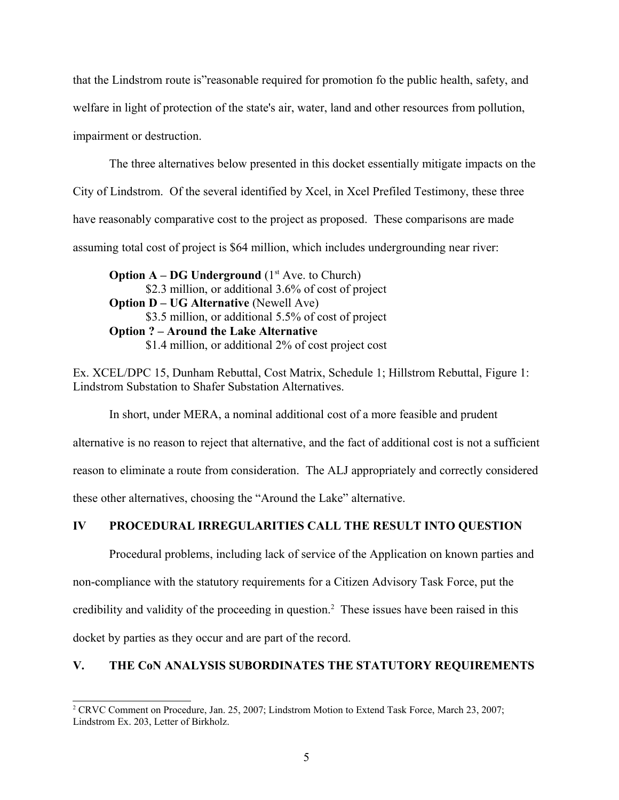that the Lindstrom route is"reasonable required for promotion fo the public health, safety, and welfare in light of protection of the state's air, water, land and other resources from pollution, impairment or destruction.

The three alternatives below presented in this docket essentially mitigate impacts on the City of Lindstrom. Of the several identified by Xcel, in Xcel Prefiled Testimony, these three have reasonably comparative cost to the project as proposed. These comparisons are made assuming total cost of project is \$64 million, which includes undergrounding near river:

**Option A – DG Underground** ( $1<sup>st</sup>$  Ave. to Church) \$2.3 million, or additional 3.6% of cost of project **Option D – UG Alternative** (Newell Ave) \$3.5 million, or additional 5.5% of cost of project **Option ? – Around the Lake Alternative** \$1.4 million, or additional 2% of cost project cost

Ex. XCEL/DPC 15, Dunham Rebuttal, Cost Matrix, Schedule 1; Hillstrom Rebuttal, Figure 1: Lindstrom Substation to Shafer Substation Alternatives.

In short, under MERA, a nominal additional cost of a more feasible and prudent alternative is no reason to reject that alternative, and the fact of additional cost is not a sufficient reason to eliminate a route from consideration. The ALJ appropriately and correctly considered these other alternatives, choosing the "Around the Lake" alternative.

# **IV PROCEDURAL IRREGULARITIES CALL THE RESULT INTO QUESTION**

Procedural problems, including lack of service of the Application on known parties and non-compliance with the statutory requirements for a Citizen Advisory Task Force, put the credibility and validity of the proceeding in question.<sup>[2](#page-4-0)</sup> These issues have been raised in this docket by parties as they occur and are part of the record.

# **V. THE CoN ANALYSIS SUBORDINATES THE STATUTORY REQUIREMENTS**

<span id="page-4-0"></span><sup>2</sup> CRVC Comment on Procedure, Jan. 25, 2007; Lindstrom Motion to Extend Task Force, March 23, 2007; Lindstrom Ex. 203, Letter of Birkholz.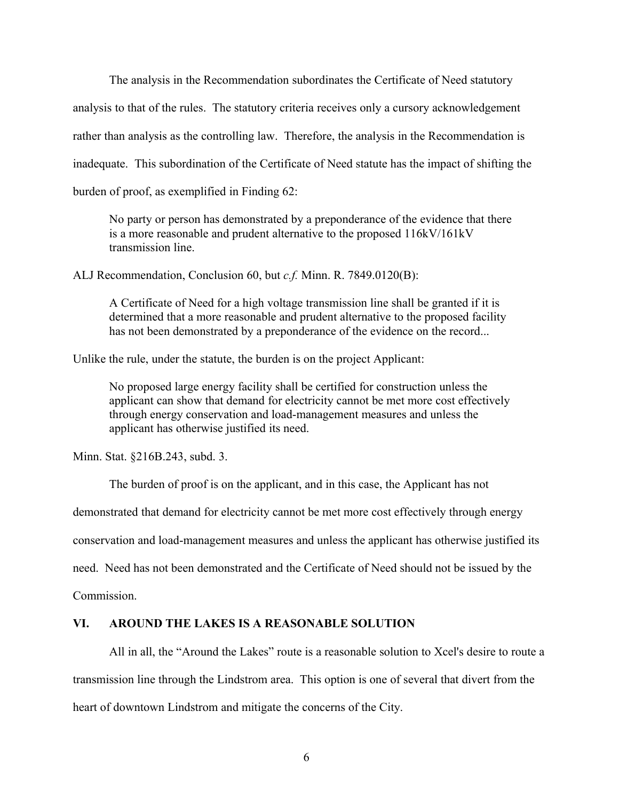The analysis in the Recommendation subordinates the Certificate of Need statutory

analysis to that of the rules. The statutory criteria receives only a cursory acknowledgement rather than analysis as the controlling law. Therefore, the analysis in the Recommendation is inadequate. This subordination of the Certificate of Need statute has the impact of shifting the burden of proof, as exemplified in Finding 62:

No party or person has demonstrated by a preponderance of the evidence that there is a more reasonable and prudent alternative to the proposed 116kV/161kV transmission line.

ALJ Recommendation, Conclusion 60, but *c.f.* Minn. R. 7849.0120(B):

A Certificate of Need for a high voltage transmission line shall be granted if it is determined that a more reasonable and prudent alternative to the proposed facility has not been demonstrated by a preponderance of the evidence on the record...

Unlike the rule, under the statute, the burden is on the project Applicant:

No proposed large energy facility shall be certified for construction unless the applicant can show that demand for electricity cannot be met more cost effectively through energy conservation and load-management measures and unless the applicant has otherwise justified its need.

Minn. Stat. §216B.243, subd. 3.

The burden of proof is on the applicant, and in this case, the Applicant has not

demonstrated that demand for electricity cannot be met more cost effectively through energy

conservation and load-management measures and unless the applicant has otherwise justified its

need. Need has not been demonstrated and the Certificate of Need should not be issued by the

Commission.

# **VI. AROUND THE LAKES IS A REASONABLE SOLUTION**

All in all, the "Around the Lakes" route is a reasonable solution to Xcel's desire to route a transmission line through the Lindstrom area. This option is one of several that divert from the heart of downtown Lindstrom and mitigate the concerns of the City.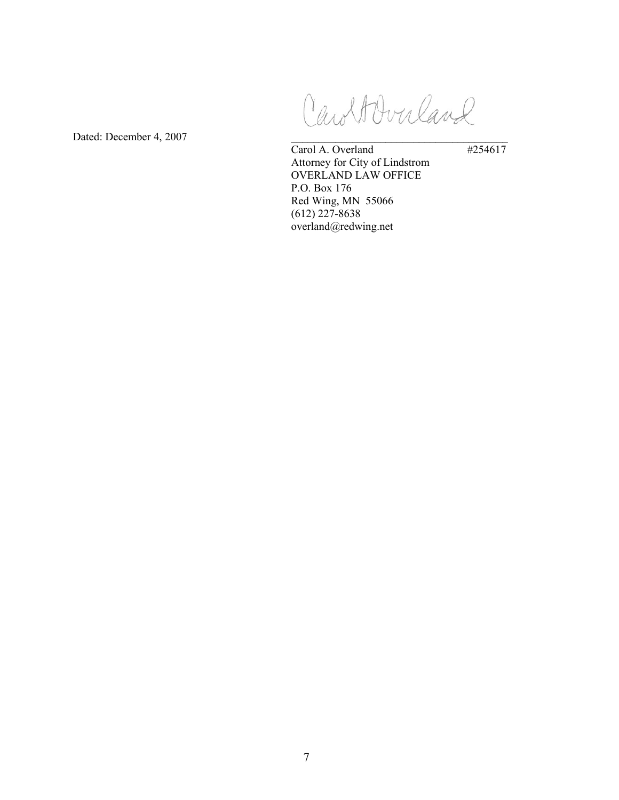CaroltOvuland

Dated: December 4, 2007  $\overline{Card A. Overland}$  #254617 Carol A. Overland Attorney for City of Lindstrom OVERLAND LAW OFFICE P.O. Box 176 Red Wing, MN 55066 (612) 227-8638 overland@redwing.net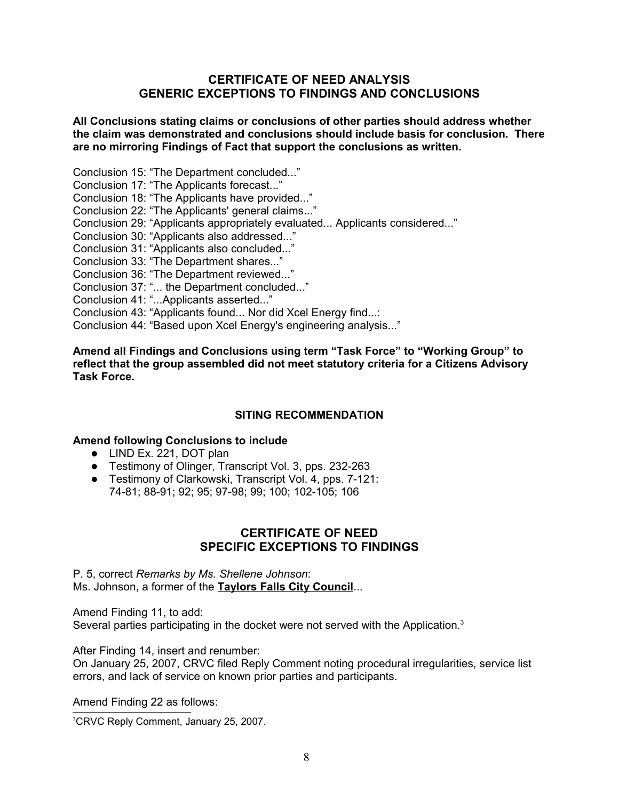# **CERTIFICATE OF NEED ANALYSIS GENERIC EXCEPTIONS TO FINDINGS AND CONCLUSIONS**

# **All Conclusions stating claims or conclusions of other parties should address whether the claim was demonstrated and conclusions should include basis for conclusion. There are no mirroring Findings of Fact that support the conclusions as written.**

Conclusion 15: "The Department concluded..."

Conclusion 17: "The Applicants forecast..."

Conclusion 18: "The Applicants have provided..."

Conclusion 22: "The Applicants' general claims..."

Conclusion 29: "Applicants appropriately evaluated... Applicants considered..."

Conclusion 30: "Applicants also addressed..."

Conclusion 31: "Applicants also concluded..."

Conclusion 33: "The Department shares..."

Conclusion 36: "The Department reviewed..."

Conclusion 37: "... the Department concluded..."

Conclusion 41: "...Applicants asserted..."

Conclusion 43: "Applicants found... Nor did Xcel Energy find...:

Conclusion 44: "Based upon Xcel Energy's engineering analysis..."

## **Amend all Findings and Conclusions using term "Task Force" to "Working Group" to reflect that the group assembled did not meet statutory criteria for a Citizens Advisory Task Force.**

# **SITING RECOMMENDATION**

# **Amend following Conclusions to include**

- LIND Ex. 221, DOT plan
- Testimony of Olinger, Transcript Vol. 3, pps. 232-263
- **•** Testimony of Clarkowski, Transcript Vol. 4, pps. 7-121: 74-81; 88-91; 92; 95; 97-98; 99; 100; 102-105; 106

# **CERTIFICATE OF NEED SPECIFIC EXCEPTIONS TO FINDINGS**

# P. 5, correct *Remarks by Ms. Shellene Johnson*: Ms. Johnson, a former of the **Taylors Falls City Council**...

Amend Finding 11, to add: Several parties participating in the docket were not served with the Application.<sup>[3](#page-7-0)</sup>

After Finding 14, insert and renumber:

On January 25, 2007, CRVC filed Reply Comment noting procedural irregularities, service list errors, and lack of service on known prior parties and participants.

Amend Finding 22 as follows:

<span id="page-7-0"></span><sup>3</sup>CRVC Reply Comment, January 25, 2007.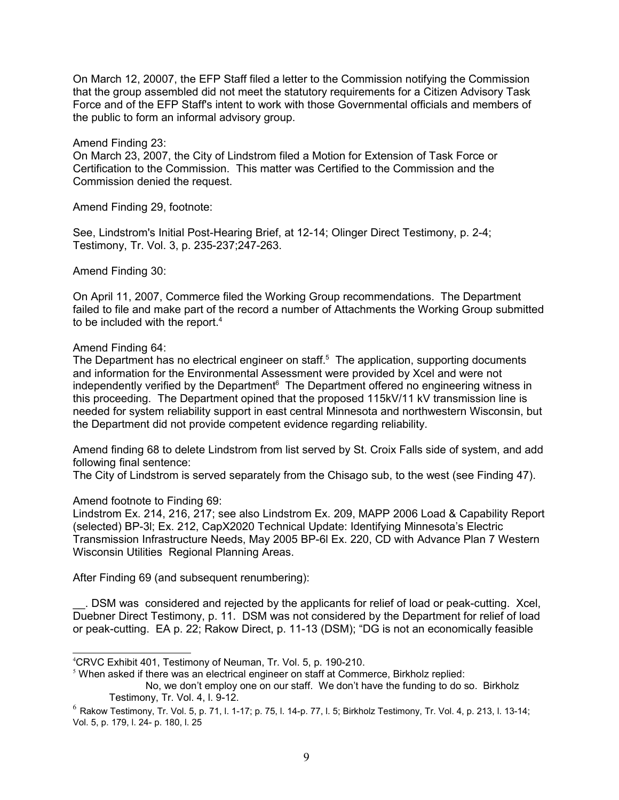On March 12, 20007, the EFP Staff filed a letter to the Commission notifying the Commission that the group assembled did not meet the statutory requirements for a Citizen Advisory Task Force and of the EFP Staff's intent to work with those Governmental officials and members of the public to form an informal advisory group.

Amend Finding 23:

On March 23, 2007, the City of Lindstrom filed a Motion for Extension of Task Force or Certification to the Commission. This matter was Certified to the Commission and the Commission denied the request.

Amend Finding 29, footnote:

See, Lindstrom's Initial Post-Hearing Brief, at 12-14; Olinger Direct Testimony, p. 2-4; Testimony, Tr. Vol. 3, p. 235-237;247-263.

Amend Finding 30:

On April 11, 2007, Commerce filed the Working Group recommendations. The Department failed to file and make part of the record a number of Attachments the Working Group submitted to be included with the report.<sup>[4](#page-8-0)</sup>

# Amend Finding 64:

The Department has no electrical engineer on staff.<sup>[5](#page-8-1)</sup> The application, supporting documents and information for the Environmental Assessment were provided by Xcel and were not independently verified by the Department $6$  The Department offered no engineering witness in this proceeding. The Department opined that the proposed 115kV/11 kV transmission line is needed for system reliability support in east central Minnesota and northwestern Wisconsin, but the Department did not provide competent evidence regarding reliability.

Amend finding 68 to delete Lindstrom from list served by St. Croix Falls side of system, and add following final sentence:

The City of Lindstrom is served separately from the Chisago sub, to the west (see Finding 47).

# Amend footnote to Finding 69:

Lindstrom Ex. 214, 216, 217; see also Lindstrom Ex. 209, MAPP 2006 Load & Capability Report (selected) BP-3l; Ex. 212, CapX2020 Technical Update: Identifying Minnesota's Electric Transmission Infrastructure Needs, May 2005 BP-6l Ex. 220, CD with Advance Plan 7 Western Wisconsin Utilities Regional Planning Areas.

After Finding 69 (and subsequent renumbering):

\_\_. DSM was considered and rejected by the applicants for relief of load or peak-cutting. Xcel, Duebner Direct Testimony, p. 11. DSM was not considered by the Department for relief of load or peak-cutting. EA p. 22; Rakow Direct, p. 11-13 (DSM); "DG is not an economically feasible

<span id="page-8-0"></span><sup>4</sup>CRVC Exhibit 401, Testimony of Neuman, Tr. Vol. 5, p. 190-210.

<span id="page-8-1"></span> $5$  When asked if there was an electrical engineer on staff at Commerce, Birkholz replied:

No, we don't employ one on our staff. We don't have the funding to do so. Birkholz Testimony, Tr. Vol. 4, l. 9-12.

<span id="page-8-2"></span> $^6$  Rakow Testimony, Tr. Vol. 5, p. 71, l. 1-17; p. 75, l. 14-p. 77, l. 5; Birkholz Testimony, Tr. Vol. 4, p. 213, l. 13-14; Vol. 5, p. 179, l. 24- p. 180, l. 25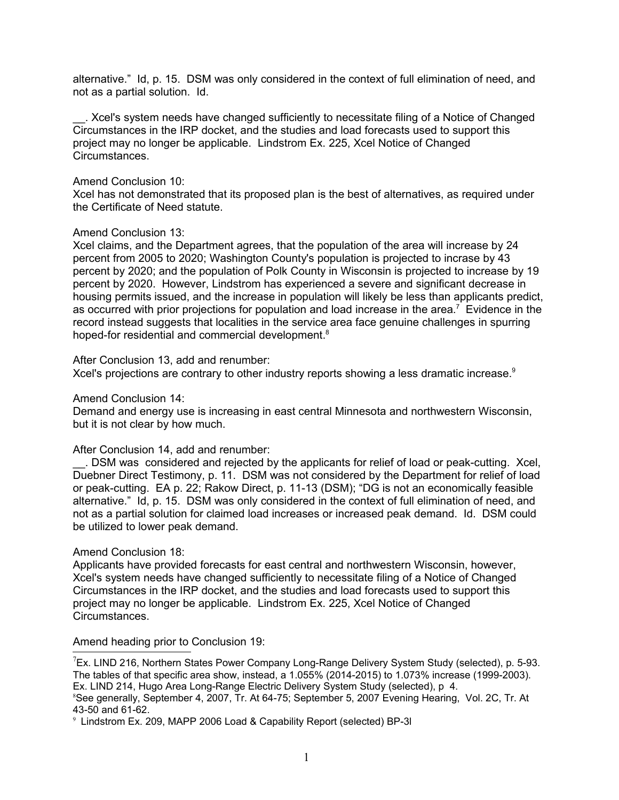alternative." Id, p. 15. DSM was only considered in the context of full elimination of need, and not as a partial solution. Id.

\_\_. Xcel's system needs have changed sufficiently to necessitate filing of a Notice of Changed Circumstances in the IRP docket, and the studies and load forecasts used to support this project may no longer be applicable. Lindstrom Ex. 225, Xcel Notice of Changed Circumstances.

### Amend Conclusion 10:

Xcel has not demonstrated that its proposed plan is the best of alternatives, as required under the Certificate of Need statute.

#### Amend Conclusion 13:

Xcel claims, and the Department agrees, that the population of the area will increase by 24 percent from 2005 to 2020; Washington County's population is projected to incrase by 43 percent by 2020; and the population of Polk County in Wisconsin is projected to increase by 19 percent by 2020. However, Lindstrom has experienced a severe and significant decrease in housing permits issued, and the increase in population will likely be less than applicants predict, as occurred with prior projections for population and load increase in the area.<sup>[7](#page-9-0)</sup> Evidence in the record instead suggests that localities in the service area face genuine challenges in spurring hoped-for residential and commercial development.<sup>[8](#page-9-1)</sup>

After Conclusion 13, add and renumber:

Xcel's projections are contrary to other industry reports showing a less dramatic increase.<sup>[9](#page-9-2)</sup>

Amend Conclusion 14:

Demand and energy use is increasing in east central Minnesota and northwestern Wisconsin, but it is not clear by how much.

After Conclusion 14, add and renumber:

\_\_. DSM was considered and rejected by the applicants for relief of load or peak-cutting. Xcel, Duebner Direct Testimony, p. 11. DSM was not considered by the Department for relief of load or peak-cutting. EA p. 22; Rakow Direct, p. 11-13 (DSM); "DG is not an economically feasible alternative." Id, p. 15. DSM was only considered in the context of full elimination of need, and not as a partial solution for claimed load increases or increased peak demand. Id. DSM could be utilized to lower peak demand.

## Amend Conclusion 18:

Applicants have provided forecasts for east central and northwestern Wisconsin, however, Xcel's system needs have changed sufficiently to necessitate filing of a Notice of Changed Circumstances in the IRP docket, and the studies and load forecasts used to support this project may no longer be applicable. Lindstrom Ex. 225, Xcel Notice of Changed Circumstances.

Amend heading prior to Conclusion 19:

<span id="page-9-0"></span> $7$ Ex. LIND 216, Northern States Power Company Long-Range Delivery System Study (selected), p. 5-93. The tables of that specific area show, instead, a 1.055% (2014-2015) to 1.073% increase (1999-2003). Ex. LIND 214, Hugo Area Long-Range Electric Delivery System Study (selected), p 4. <sup>8</sup>See generally, September 4, 2007, Tr. At 64-75; September 5, 2007 Evening Hearing, Vol. 2C, Tr. At 43-50 and 61-62.

<span id="page-9-2"></span><span id="page-9-1"></span>9 Lindstrom Ex. 209, MAPP 2006 Load & Capability Report (selected) BP-3l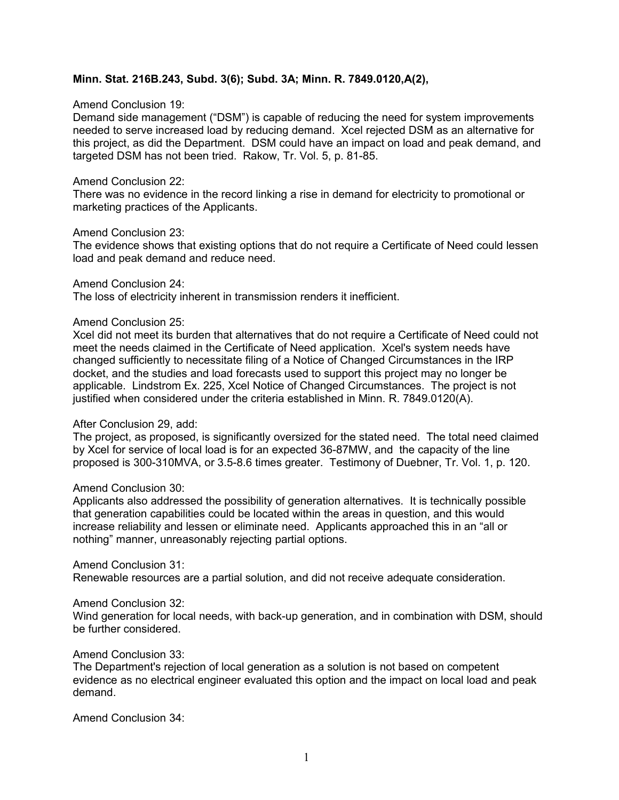# **Minn. Stat. 216B.243, Subd. 3(6); Subd. 3A; Minn. R. 7849.0120,A(2),**

### Amend Conclusion 19:

Demand side management ("DSM") is capable of reducing the need for system improvements needed to serve increased load by reducing demand. Xcel rejected DSM as an alternative for this project, as did the Department. DSM could have an impact on load and peak demand, and targeted DSM has not been tried. Rakow, Tr. Vol. 5, p. 81-85.

### Amend Conclusion 22:

There was no evidence in the record linking a rise in demand for electricity to promotional or marketing practices of the Applicants.

#### Amend Conclusion 23:

The evidence shows that existing options that do not require a Certificate of Need could lessen load and peak demand and reduce need.

#### Amend Conclusion 24:

The loss of electricity inherent in transmission renders it inefficient.

#### Amend Conclusion 25:

Xcel did not meet its burden that alternatives that do not require a Certificate of Need could not meet the needs claimed in the Certificate of Need application. Xcel's system needs have changed sufficiently to necessitate filing of a Notice of Changed Circumstances in the IRP docket, and the studies and load forecasts used to support this project may no longer be applicable. Lindstrom Ex. 225, Xcel Notice of Changed Circumstances. The project is not justified when considered under the criteria established in Minn. R. 7849.0120(A).

## After Conclusion 29, add:

The project, as proposed, is significantly oversized for the stated need. The total need claimed by Xcel for service of local load is for an expected 36-87MW, and the capacity of the line proposed is 300-310MVA, or 3.5-8.6 times greater. Testimony of Duebner, Tr. Vol. 1, p. 120.

## Amend Conclusion 30:

Applicants also addressed the possibility of generation alternatives. It is technically possible that generation capabilities could be located within the areas in question, and this would increase reliability and lessen or eliminate need. Applicants approached this in an "all or nothing" manner, unreasonably rejecting partial options.

## Amend Conclusion 31:

Renewable resources are a partial solution, and did not receive adequate consideration.

## Amend Conclusion 32:

Wind generation for local needs, with back-up generation, and in combination with DSM, should be further considered.

## Amend Conclusion 33:

The Department's rejection of local generation as a solution is not based on competent evidence as no electrical engineer evaluated this option and the impact on local load and peak demand.

Amend Conclusion 34: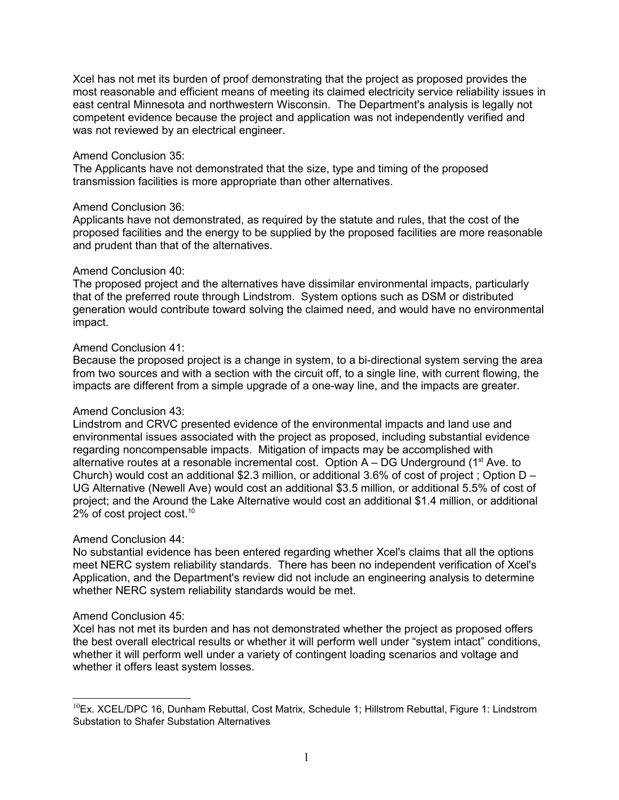Xcel has not met its burden of proof demonstrating that the project as proposed provides the most reasonable and efficient means of meeting its claimed electricity service reliability issues in east central Minnesota and northwestern Wisconsin. The Department's analysis is legally not competent evidence because the project and application was not independently verified and was not reviewed by an electrical engineer.

## Amend Conclusion 35:

The Applicants have not demonstrated that the size, type and timing of the proposed transmission facilities is more appropriate than other alternatives.

# Amend Conclusion 36:

Applicants have not demonstrated, as required by the statute and rules, that the cost of the proposed facilities and the energy to be supplied by the proposed facilities are more reasonable and prudent than that of the alternatives.

# Amend Conclusion 40:

The proposed project and the alternatives have dissimilar environmental impacts, particularly that of the preferred route through Lindstrom. System options such as DSM or distributed generation would contribute toward solving the claimed need, and would have no environmental impact.

# Amend Conclusion 41:

Because the proposed project is a change in system, to a bi-directional system serving the area from two sources and with a section with the circuit off, to a single line, with current flowing, the impacts are different from a simple upgrade of a one-way line, and the impacts are greater.

# Amend Conclusion 43:

Lindstrom and CRVC presented evidence of the environmental impacts and land use and environmental issues associated with the project as proposed, including substantial evidence regarding noncompensable impacts. Mitigation of impacts may be accomplished with alternative routes at a resonable incremental cost. Option  $A - DG$  Underground (1<sup>st</sup> Ave. to Church) would cost an additional \$2.3 million, or additional 3.6% of cost of project ; Option D – UG Alternative (Newell Ave) would cost an additional \$3.5 million, or additional 5.5% of cost of project; and the Around the Lake Alternative would cost an additional \$1.4 million, or additional 2% of cost project cost.<sup>[10](#page-11-0)</sup>

## Amend Conclusion 44:

No substantial evidence has been entered regarding whether Xcel's claims that all the options meet NERC system reliability standards. There has been no independent verification of Xcel's Application, and the Department's review did not include an engineering analysis to determine whether NERC system reliability standards would be met.

# Amend Conclusion 45:

Xcel has not met its burden and has not demonstrated whether the project as proposed offers the best overall electrical results or whether it will perform well under "system intact" conditions, whether it will perform well under a variety of contingent loading scenarios and voltage and whether it offers least system losses.

<span id="page-11-0"></span> $10$ Ex. XCEL/DPC 16, Dunham Rebuttal, Cost Matrix, Schedule 1; Hillstrom Rebuttal, Figure 1: Lindstrom Substation to Shafer Substation Alternatives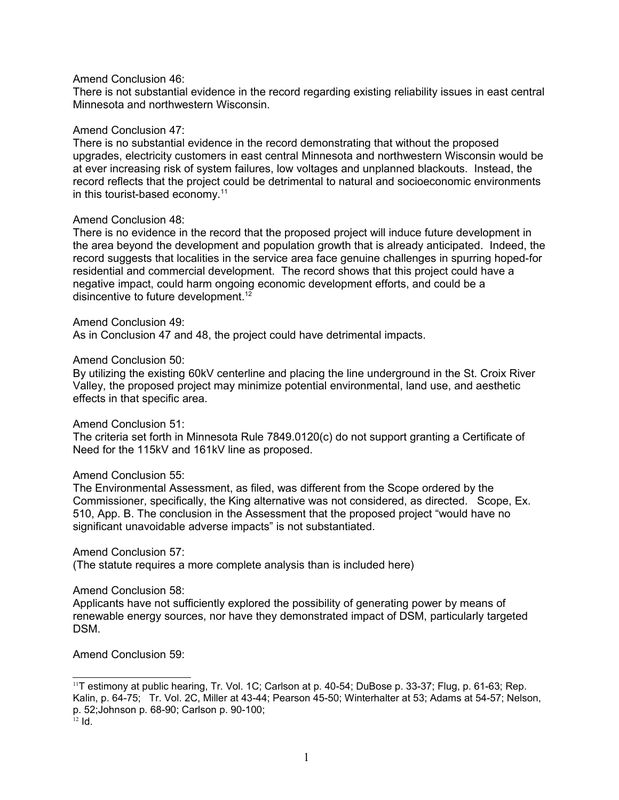## Amend Conclusion 46:

There is not substantial evidence in the record regarding existing reliability issues in east central Minnesota and northwestern Wisconsin.

#### Amend Conclusion 47:

There is no substantial evidence in the record demonstrating that without the proposed upgrades, electricity customers in east central Minnesota and northwestern Wisconsin would be at ever increasing risk of system failures, low voltages and unplanned blackouts. Instead, the record reflects that the project could be detrimental to natural and socioeconomic environments in this tourist-based economy.<sup>[11](#page-12-0)</sup>

## Amend Conclusion 48:

There is no evidence in the record that the proposed project will induce future development in the area beyond the development and population growth that is already anticipated. Indeed, the record suggests that localities in the service area face genuine challenges in spurring hoped-for residential and commercial development. The record shows that this project could have a negative impact, could harm ongoing economic development efforts, and could be a disincentive to future development.<sup>[12](#page-12-1)</sup>

#### Amend Conclusion 49:

As in Conclusion 47 and 48, the project could have detrimental impacts.

#### Amend Conclusion 50:

By utilizing the existing 60kV centerline and placing the line underground in the St. Croix River Valley, the proposed project may minimize potential environmental, land use, and aesthetic effects in that specific area.

## Amend Conclusion 51:

The criteria set forth in Minnesota Rule 7849.0120(c) do not support granting a Certificate of Need for the 115kV and 161kV line as proposed.

## Amend Conclusion 55:

The Environmental Assessment, as filed, was different from the Scope ordered by the Commissioner, specifically, the King alternative was not considered, as directed. Scope, Ex. 510, App. B. The conclusion in the Assessment that the proposed project "would have no significant unavoidable adverse impacts" is not substantiated.

## Amend Conclusion 57:

(The statute requires a more complete analysis than is included here)

#### Amend Conclusion 58:

Applicants have not sufficiently explored the possibility of generating power by means of renewable energy sources, nor have they demonstrated impact of DSM, particularly targeted DSM.

Amend Conclusion 59:

<span id="page-12-0"></span> $11$ T estimony at public hearing, Tr. Vol. 1C; Carlson at p. 40-54; DuBose p. 33-37; Flug, p. 61-63; Rep. Kalin, p. 64-75; Tr. Vol. 2C, Miller at 43-44; Pearson 45-50; Winterhalter at 53; Adams at 54-57; Nelson, p. 52;Johnson p. 68-90; Carlson p. 90-100;

<span id="page-12-1"></span> $12$  Id.